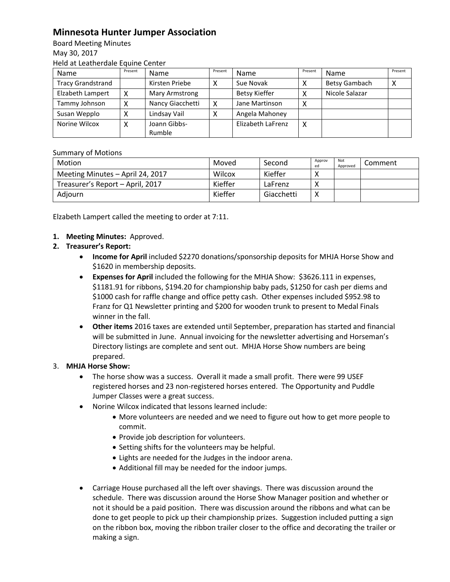## **Minnesota Hunter Jumper Association**

Board Meeting Minutes May 30, 2017 Held at Leatherdale Equine Center

| Name                     | Present | <b>Name</b>      | Present | <b>Name</b>       | Present | Name           | Present |
|--------------------------|---------|------------------|---------|-------------------|---------|----------------|---------|
| <b>Tracy Grandstrand</b> |         | Kirsten Priebe   |         | Sue Novak         |         | Betsy Gambach  |         |
| Elzabeth Lampert         |         | Mary Armstrong   |         | Betsy Kieffer     |         | Nicole Salazar |         |
| Tammy Johnson            |         | Nancy Giacchetti | χ       | Jane Martinson    | x       |                |         |
| Susan Wepplo             |         | Lindsay Vail     |         | Angela Mahoney    |         |                |         |
| Norine Wilcox            |         | Joann Gibbs-     |         | Elizabeth LaFrenz | Χ       |                |         |
|                          |         | Rumble           |         |                   |         |                |         |

## Summary of Motions

| Motion                           | Moved   | Second     | Approv<br>ed | Not<br>Approved | Comment |
|----------------------------------|---------|------------|--------------|-----------------|---------|
| Meeting Minutes - April 24, 2017 | Wilcox  | Kieffer    |              |                 |         |
| Treasurer's Report - April, 2017 | Kieffer | LaFrenz    |              |                 |         |
| Adjourn                          | Kieffer | Giacchetti | $\mathbf{v}$ |                 |         |

Elzabeth Lampert called the meeting to order at 7:11.

- **1. Meeting Minutes:** Approved.
- **2. Treasurer's Report:** 
	- **Income for April** included \$2270 donations/sponsorship deposits for MHJA Horse Show and \$1620 in membership deposits.
	- **Expenses for April** included the following for the MHJA Show: \$3626.111 in expenses, \$1181.91 for ribbons, \$194.20 for championship baby pads, \$1250 for cash per diems and \$1000 cash for raffle change and office petty cash. Other expenses included \$952.98 to Franz for Q1 Newsletter printing and \$200 for wooden trunk to present to Medal Finals winner in the fall.
	- **Other items** 2016 taxes are extended until September, preparation has started and financial will be submitted in June. Annual invoicing for the newsletter advertising and Horseman's Directory listings are complete and sent out. MHJA Horse Show numbers are being prepared.

## 3. **MHJA Horse Show:**

- The horse show was a success. Overall it made a small profit. There were 99 USEF registered horses and 23 non-registered horses entered. The Opportunity and Puddle Jumper Classes were a great success.
- Norine Wilcox indicated that lessons learned include:
	- More volunteers are needed and we need to figure out how to get more people to commit.
	- Provide job description for volunteers.
	- Setting shifts for the volunteers may be helpful.
	- Lights are needed for the Judges in the indoor arena.
	- Additional fill may be needed for the indoor jumps.
- Carriage House purchased all the left over shavings. There was discussion around the schedule. There was discussion around the Horse Show Manager position and whether or not it should be a paid position. There was discussion around the ribbons and what can be done to get people to pick up their championship prizes. Suggestion included putting a sign on the ribbon box, moving the ribbon trailer closer to the office and decorating the trailer or making a sign.